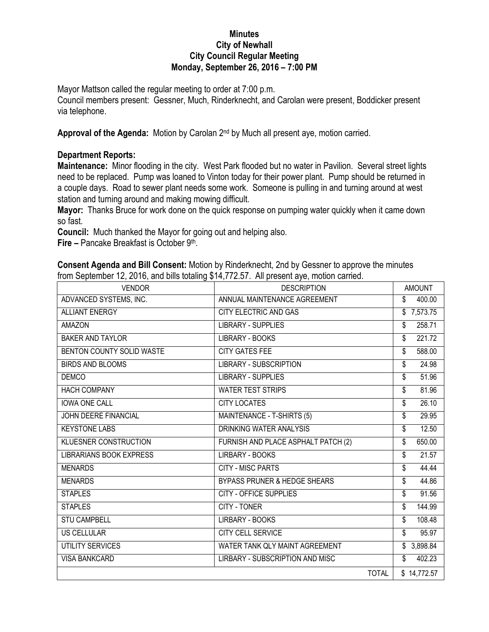## **Minutes City of Newhall City Council Regular Meeting Monday, September 26, 2016 – 7:00 PM**

Mayor Mattson called the regular meeting to order at 7:00 p.m.

Council members present: Gessner, Much, Rinderknecht, and Carolan were present, Boddicker present via telephone.

Approval of the Agenda: Motion by Carolan 2<sup>nd</sup> by Much all present aye, motion carried.

## **Department Reports:**

**Maintenance:** Minor flooding in the city. West Park flooded but no water in Pavilion. Several street lights need to be replaced. Pump was loaned to Vinton today for their power plant. Pump should be returned in a couple days. Road to sewer plant needs some work. Someone is pulling in and turning around at west station and turning around and making mowing difficult.

**Mayor:** Thanks Bruce for work done on the quick response on pumping water quickly when it came down so fast.

**Council:** Much thanked the Mayor for going out and helping also.

**Fire –** Pancake Breakfast is October 9th .

**Consent Agenda and Bill Consent:** Motion by Rinderknecht, 2nd by Gessner to approve the minutes from September 12, 2016, and bills totaling \$14,772.57. All present aye, motion carried.

| <b>VENDOR</b>                  | <b>DESCRIPTION</b>                      | <b>AMOUNT</b>            |
|--------------------------------|-----------------------------------------|--------------------------|
| ADVANCED SYSTEMS, INC.         | ANNUAL MAINTENANCE AGREEMENT            | \$<br>400.00             |
| <b>ALLIANT ENERGY</b>          | <b>CITY ELECTRIC AND GAS</b>            | \$7,573.75               |
| <b>AMAZON</b>                  | <b>LIBRARY - SUPPLIES</b>               | 258.71<br>\$             |
| <b>BAKER AND TAYLOR</b>        | LIBRARY - BOOKS                         | 221.72<br>\$             |
| BENTON COUNTY SOLID WASTE      | <b>CITY GATES FEE</b>                   | 588.00<br>\$             |
| <b>BIRDS AND BLOOMS</b>        | <b>LIBRARY - SUBSCRIPTION</b>           | \$<br>24.98              |
| <b>DEMCO</b>                   | <b>LIBRARY - SUPPLIES</b>               | 51.96<br>\$              |
| <b>HACH COMPANY</b>            | <b>WATER TEST STRIPS</b>                | 81.96<br>\$              |
| <b>IOWA ONE CALL</b>           | <b>CITY LOCATES</b>                     | 26.10<br>\$              |
| <b>JOHN DEERE FINANCIAL</b>    | MAINTENANCE - T-SHIRTS (5)              | 29.95<br>\$              |
| <b>KEYSTONE LABS</b>           | DRINKING WATER ANALYSIS                 | 12.50<br>\$              |
| <b>KLUESNER CONSTRUCTION</b>   | FURNISH AND PLACE ASPHALT PATCH (2)     | 650.00<br>\$             |
| <b>LIBRARIANS BOOK EXPRESS</b> | LIRBARY - BOOKS                         | 21.57<br>\$              |
| <b>MENARDS</b>                 | <b>CITY - MISC PARTS</b>                | 44.44<br>\$              |
| <b>MENARDS</b>                 | <b>BYPASS PRUNER &amp; HEDGE SHEARS</b> | 44.86<br>\$              |
| <b>STAPLES</b>                 | <b>CITY - OFFICE SUPPLIES</b>           | 91.56<br>\$              |
| <b>STAPLES</b>                 | CITY - TONER                            | \$<br>144.99             |
| <b>STU CAMPBELL</b>            | LIRBARY - BOOKS                         | 108.48<br>\$             |
| <b>US CELLULAR</b>             | <b>CITY CELL SERVICE</b>                | 95.97<br>\$              |
| UTILITY SERVICES               | WATER TANK QLY MAINT AGREEMENT          | $\overline{\$}$ 3,898.84 |
| <b>VISA BANKCARD</b>           | LIRBARY - SUBSCRIPTION AND MISC         | 402.23<br>\$             |
|                                | <b>TOTAL</b>                            | \$14,772.57              |